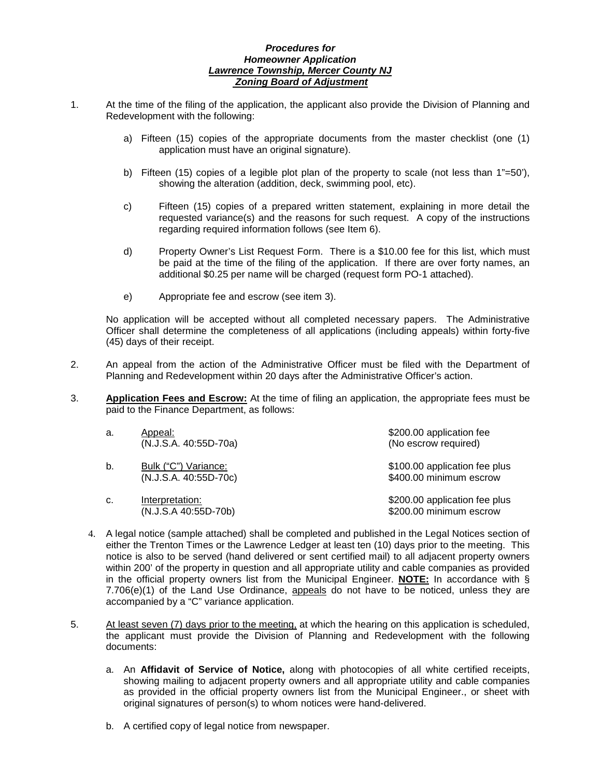# *Procedures for Homeowner Application Lawrence Township, Mercer County NJ Zoning Board of Adjustment*

- 1. At the time of the filing of the application, the applicant also provide the Division of Planning and Redevelopment with the following:
	- a) Fifteen (15) copies of the appropriate documents from the master checklist (one (1) application must have an original signature).
	- b) Fifteen (15) copies of a legible plot plan of the property to scale (not less than 1"=50'), showing the alteration (addition, deck, swimming pool, etc).
	- c) Fifteen (15) copies of a prepared written statement, explaining in more detail the requested variance(s) and the reasons for such request. A copy of the instructions regarding required information follows (see Item 6).
	- d) Property Owner's List Request Form. There is a \$10.00 fee for this list, which must be paid at the time of the filing of the application. If there are over forty names, an additional \$0.25 per name will be charged (request form PO-1 attached).
	- e) Appropriate fee and escrow (see item 3).

No application will be accepted without all completed necessary papers. The Administrative Officer shall determine the completeness of all applications (including appeals) within forty-five (45) days of their receipt.

- 2. An appeal from the action of the Administrative Officer must be filed with the Department of Planning and Redevelopment within 20 days after the Administrative Officer's action.
- 3. **Application Fees and Escrow:** At the time of filing an application, the appropriate fees must be paid to the Finance Department, as follows:

| a. | Appeal:<br>(N.J.S.A. 40:55D-70a)              | \$200.00 application fee<br>(No escrow required)         |
|----|-----------------------------------------------|----------------------------------------------------------|
| b. | Bulk ("C") Variance:<br>(N.J.S.A. 40:55D-70c) | \$100.00 application fee plus<br>\$400.00 minimum escrow |
| c. | Interpretation:<br>(N.J.S.A 40:55D-70b)       | \$200.00 application fee plus<br>\$200.00 minimum escrow |

- 4. A legal notice (sample attached) shall be completed and published in the Legal Notices section of either the Trenton Times or the Lawrence Ledger at least ten (10) days prior to the meeting. This notice is also to be served (hand delivered or sent certified mail) to all adjacent property owners within 200' of the property in question and all appropriate utility and cable companies as provided in the official property owners list from the Municipal Engineer. **NOTE:** In accordance with § 7.706(e)(1) of the Land Use Ordinance, appeals do not have to be noticed, unless they are accompanied by a "C" variance application.
- 5. At least seven (7) days prior to the meeting, at which the hearing on this application is scheduled, the applicant must provide the Division of Planning and Redevelopment with the following documents:
	- a. An **Affidavit of Service of Notice,** along with photocopies of all white certified receipts, showing mailing to adjacent property owners and all appropriate utility and cable companies as provided in the official property owners list from the Municipal Engineer., or sheet with original signatures of person(s) to whom notices were hand-delivered.
	- b. A certified copy of legal notice from newspaper.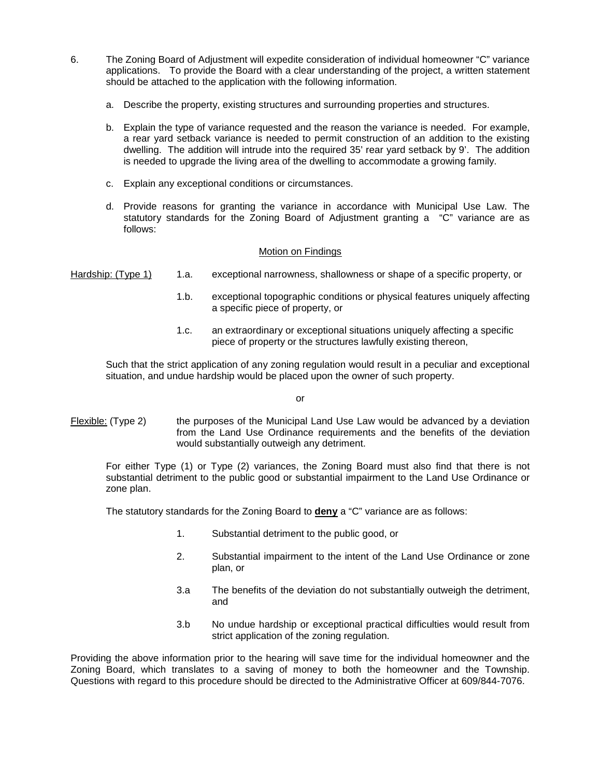- 6. The Zoning Board of Adjustment will expedite consideration of individual homeowner "C" variance applications. To provide the Board with a clear understanding of the project, a written statement should be attached to the application with the following information.
	- a. Describe the property, existing structures and surrounding properties and structures.
	- b. Explain the type of variance requested and the reason the variance is needed. For example, a rear yard setback variance is needed to permit construction of an addition to the existing dwelling. The addition will intrude into the required 35' rear yard setback by 9'. The addition is needed to upgrade the living area of the dwelling to accommodate a growing family.
	- c. Explain any exceptional conditions or circumstances.
	- d. Provide reasons for granting the variance in accordance with Municipal Use Law. The statutory standards for the Zoning Board of Adjustment granting a "C" variance are as follows:

# Motion on Findings

- Hardship: (Type 1) 1.a. exceptional narrowness, shallowness or shape of a specific property, or
	- 1.b. exceptional topographic conditions or physical features uniquely affecting a specific piece of property, or
	- 1.c. an extraordinary or exceptional situations uniquely affecting a specific piece of property or the structures lawfully existing thereon,

Such that the strict application of any zoning regulation would result in a peculiar and exceptional situation, and undue hardship would be placed upon the owner of such property.

or

Flexible: (Type 2) the purposes of the Municipal Land Use Law would be advanced by a deviation from the Land Use Ordinance requirements and the benefits of the deviation would substantially outweigh any detriment.

For either Type (1) or Type (2) variances, the Zoning Board must also find that there is not substantial detriment to the public good or substantial impairment to the Land Use Ordinance or zone plan.

The statutory standards for the Zoning Board to **deny** a "C" variance are as follows:

- 1. Substantial detriment to the public good, or
- 2. Substantial impairment to the intent of the Land Use Ordinance or zone plan, or
- 3.a The benefits of the deviation do not substantially outweigh the detriment, and
- 3.b No undue hardship or exceptional practical difficulties would result from strict application of the zoning regulation.

Providing the above information prior to the hearing will save time for the individual homeowner and the Zoning Board, which translates to a saving of money to both the homeowner and the Township. Questions with regard to this procedure should be directed to the Administrative Officer at 609/844-7076.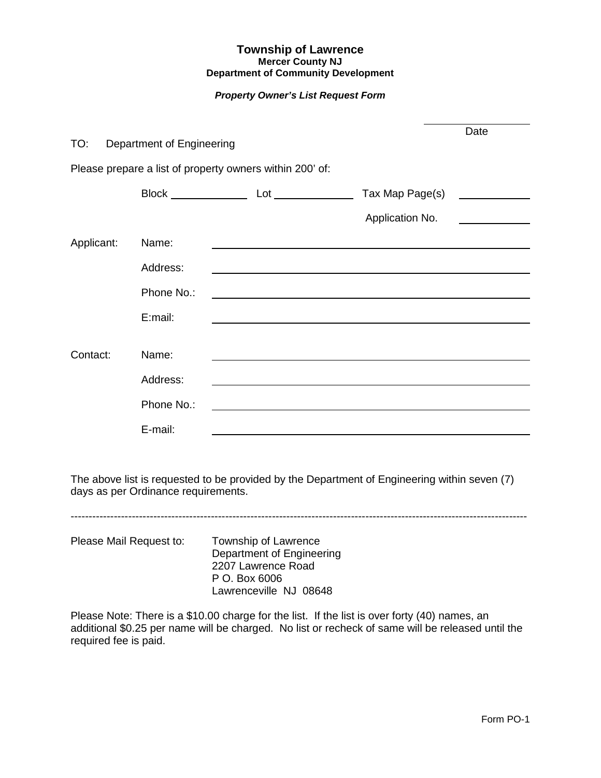# **Township of Lawrence Mercer County NJ Department of Community Development**

# *Property Owner's List Request Form*

| TO:        | Department of Engineering |                                                          |                                                         | Date |
|------------|---------------------------|----------------------------------------------------------|---------------------------------------------------------|------|
|            |                           | Please prepare a list of property owners within 200' of: |                                                         |      |
|            |                           |                                                          | Tax Map Page(s)                                         |      |
|            |                           |                                                          | Application No.                                         |      |
| Applicant: | Name:                     |                                                          |                                                         |      |
|            | Address:                  |                                                          |                                                         |      |
|            | Phone No.:                |                                                          |                                                         |      |
|            | E:mail:                   |                                                          |                                                         |      |
| Contact:   | Name:                     |                                                          |                                                         |      |
|            | Address:                  |                                                          |                                                         |      |
|            | Phone No.:                |                                                          | <u> 1989 - Johann Stein, marwolaethau a bhann an t-</u> |      |
|            | E-mail:                   |                                                          |                                                         |      |

The above list is requested to be provided by the Department of Engineering within seven (7) days as per Ordinance requirements.

-------------------------------------------------------------------------------------------------------------------------------

Please Mail Request to: Township of Lawrence Department of Engineering 2207 Lawrence Road P O. Box 6006 Lawrenceville NJ 08648

Please Note: There is a \$10.00 charge for the list. If the list is over forty (40) names, an additional \$0.25 per name will be charged. No list or recheck of same will be released until the required fee is paid.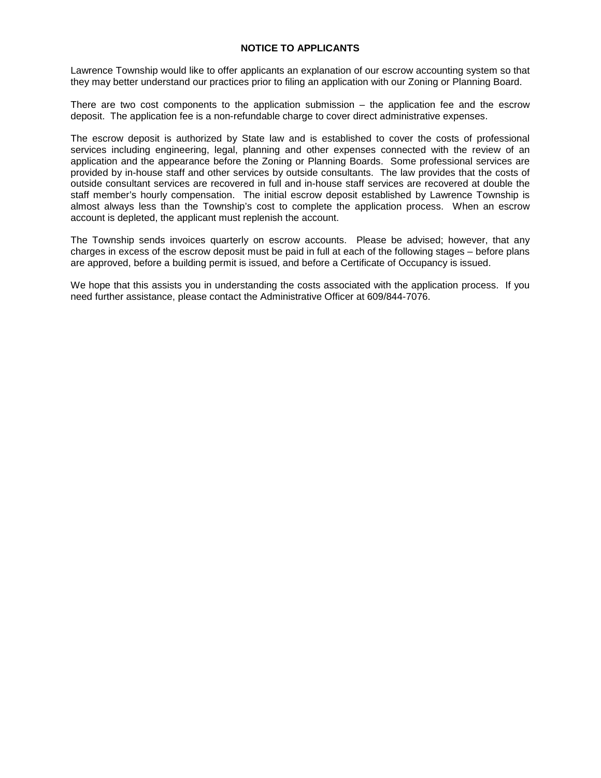# **NOTICE TO APPLICANTS**

Lawrence Township would like to offer applicants an explanation of our escrow accounting system so that they may better understand our practices prior to filing an application with our Zoning or Planning Board.

There are two cost components to the application submission  $-$  the application fee and the escrow deposit. The application fee is a non-refundable charge to cover direct administrative expenses.

The escrow deposit is authorized by State law and is established to cover the costs of professional services including engineering, legal, planning and other expenses connected with the review of an application and the appearance before the Zoning or Planning Boards. Some professional services are provided by in-house staff and other services by outside consultants. The law provides that the costs of outside consultant services are recovered in full and in-house staff services are recovered at double the staff member's hourly compensation. The initial escrow deposit established by Lawrence Township is almost always less than the Township's cost to complete the application process. When an escrow account is depleted, the applicant must replenish the account.

The Township sends invoices quarterly on escrow accounts. Please be advised; however, that any charges in excess of the escrow deposit must be paid in full at each of the following stages – before plans are approved, before a building permit is issued, and before a Certificate of Occupancy is issued.

We hope that this assists you in understanding the costs associated with the application process. If you need further assistance, please contact the Administrative Officer at 609/844-7076.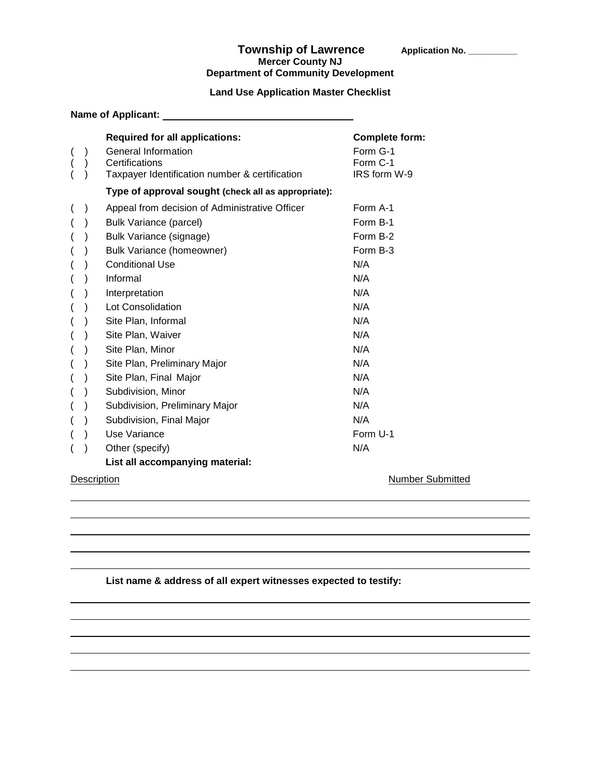### Township of Lawrence **Application No.** \_\_\_\_\_\_\_ **Mercer County NJ Department of Community Development**

# **Land Use Application Master Checklist**

|  | Name of Applicant:                                                                                                                                                                                                                                                                                                                                                          |                                                                                                                    |
|--|-----------------------------------------------------------------------------------------------------------------------------------------------------------------------------------------------------------------------------------------------------------------------------------------------------------------------------------------------------------------------------|--------------------------------------------------------------------------------------------------------------------|
|  | <b>Required for all applications:</b>                                                                                                                                                                                                                                                                                                                                       | <b>Complete form:</b>                                                                                              |
|  | General Information<br>Certifications<br>Taxpayer Identification number & certification                                                                                                                                                                                                                                                                                     | Form G-1<br>Form C-1<br>IRS form W-9                                                                               |
|  | Type of approval sought (check all as appropriate):                                                                                                                                                                                                                                                                                                                         |                                                                                                                    |
|  | Appeal from decision of Administrative Officer<br><b>Bulk Variance (parcel)</b><br>Bulk Variance (signage)<br><b>Bulk Variance (homeowner)</b><br><b>Conditional Use</b><br>Informal<br>Interpretation<br>Lot Consolidation<br>Site Plan, Informal<br>Site Plan, Waiver<br>Site Plan, Minor<br>Site Plan, Preliminary Major<br>Site Plan, Final Major<br>Subdivision, Minor | Form A-1<br>Form B-1<br>Form B-2<br>Form B-3<br>N/A<br>N/A<br>N/A<br>N/A<br>N/A<br>N/A<br>N/A<br>N/A<br>N/A<br>N/A |
|  | Subdivision, Preliminary Major                                                                                                                                                                                                                                                                                                                                              | N/A                                                                                                                |
|  | Subdivision, Final Major                                                                                                                                                                                                                                                                                                                                                    | N/A                                                                                                                |
|  | Use Variance                                                                                                                                                                                                                                                                                                                                                                | Form U-1                                                                                                           |
|  | Other (specify)                                                                                                                                                                                                                                                                                                                                                             | N/A                                                                                                                |
|  | List all accompanying material:                                                                                                                                                                                                                                                                                                                                             |                                                                                                                    |

Description Number Submitted

# **List name & address of all expert witnesses expected to testify:**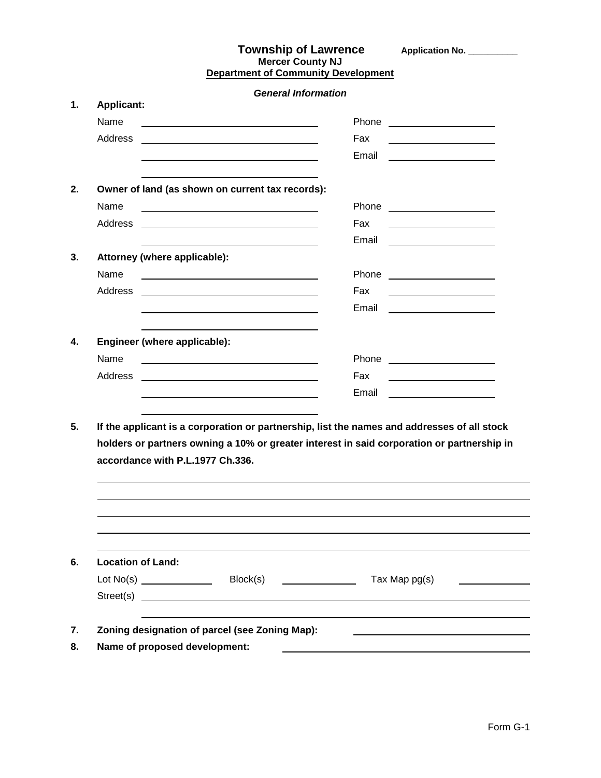| <b>Township of Lawrence</b>                |
|--------------------------------------------|
| <b>Mercer County NJ</b>                    |
| <b>Department of Community Development</b> |

**Application No. \_\_\_\_\_\_\_\_\_\_** 

*General Information* **1. Applicant:** Name Phone Address Fax Email **2. Owner of land (as shown on current tax records):** Name Phone Address Fax Email **3. Attorney (where applicable):** Name <u>example and the set of the set of the set of the set of the set of the set of the set of the set of the set of the set of the set of the set of the set of the set of the set of the set of the set of the set of the se</u> Address Fax **4. Engineer (where applicable):** Name <u>example and the set of the set of the set of the set of the set of the set of the set of the set of the set of the set of the set of the set of the set of the set of the set of the set of the set of the set of the se</u> Address Fax <u>Email Communications and the Benail Communications and the Benail Communications and the Benail Communications</u>

**5. If the applicant is a corporation or partnership, list the names and addresses of all stock holders or partners owning a 10% or greater interest in said corporation or partnership in accordance with P.L.1977 Ch.336.**

| <b>Location of Land:</b> |           |               |
|--------------------------|-----------|---------------|
|                          | Block(s)  | Tax Map pg(s) |
|                          | Street(s) |               |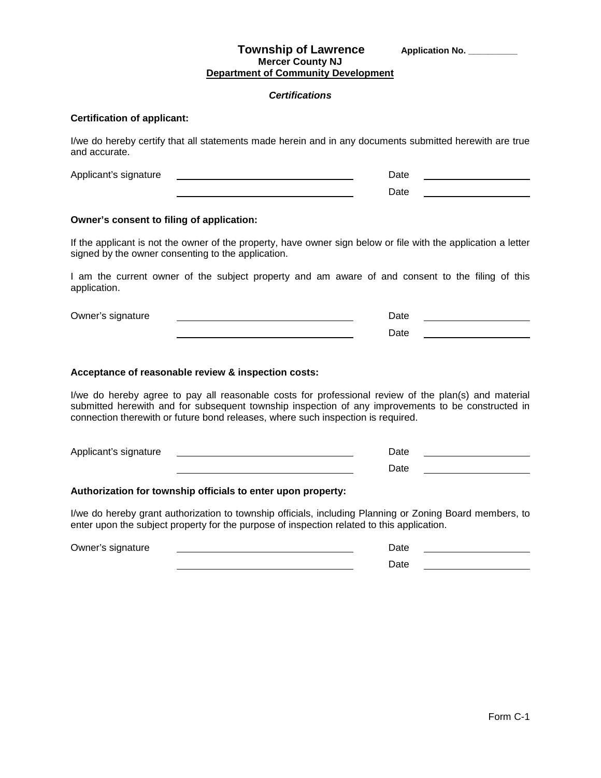### **Township of Lawrence** Application No. \_\_\_\_\_\_\_\_\_ **Mercer County NJ Department of Community Development**

#### *Certifications*

## **Certification of applicant:**

I/we do hereby certify that all statements made herein and in any documents submitted herewith are true and accurate.

| Applicant's signature | ่⊃at∈ |  |
|-----------------------|-------|--|
|                       | วลte  |  |

#### **Owner's consent to filing of application:**

If the applicant is not the owner of the property, have owner sign below or file with the application a letter signed by the owner consenting to the application.

I am the current owner of the subject property and am aware of and consent to the filing of this application.

| Owner's signature | $12+$ |  |
|-------------------|-------|--|
|                   | י הו  |  |

#### **Acceptance of reasonable review & inspection costs:**

I/we do hereby agree to pay all reasonable costs for professional review of the plan(s) and material submitted herewith and for subsequent township inspection of any improvements to be constructed in connection therewith or future bond releases, where such inspection is required.

| Applicant's signature | Date |  |
|-----------------------|------|--|
|                       | Date |  |

#### **Authorization for township officials to enter upon property:**

I/we do hereby grant authorization to township officials, including Planning or Zoning Board members, to enter upon the subject property for the purpose of inspection related to this application.

Owner's signature Date Date Communication of the Date Date Date Date Date Date Date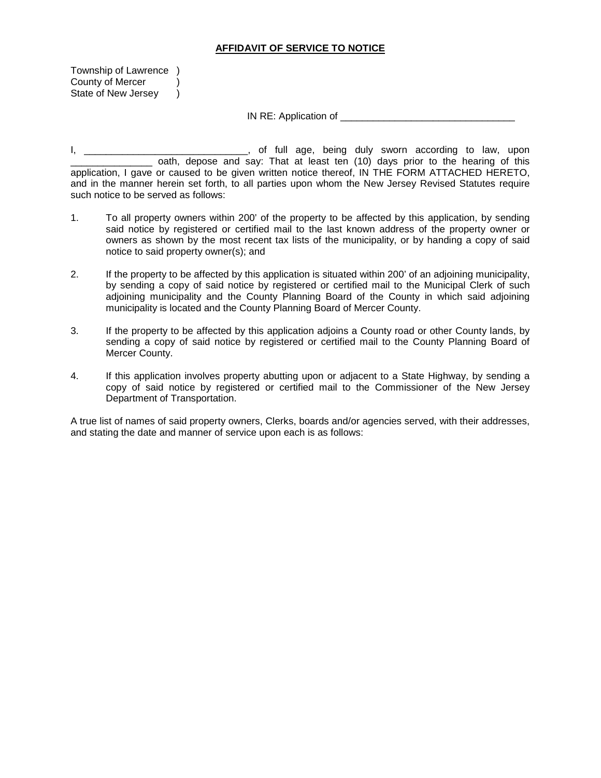# **AFFIDAVIT OF SERVICE TO NOTICE**

Township of Lawrence ) County of Mercer ) State of New Jersey )

IN RE: Application of \_\_\_\_\_\_\_\_\_\_\_\_\_\_\_\_\_\_\_\_\_\_\_\_\_\_\_\_\_\_\_\_

I, \_\_\_\_\_\_\_\_\_\_\_\_\_\_\_\_\_\_\_\_\_\_\_\_\_\_\_\_\_\_, of full age, being duly sworn according to law, upon \_\_\_\_\_\_\_\_\_\_\_\_\_\_\_ oath, depose and say: That at least ten (10) days prior to the hearing of this application, I gave or caused to be given written notice thereof, IN THE FORM ATTACHED HERETO, and in the manner herein set forth, to all parties upon whom the New Jersey Revised Statutes require such notice to be served as follows:

- 1. To all property owners within 200' of the property to be affected by this application, by sending said notice by registered or certified mail to the last known address of the property owner or owners as shown by the most recent tax lists of the municipality, or by handing a copy of said notice to said property owner(s); and
- 2. If the property to be affected by this application is situated within 200' of an adjoining municipality, by sending a copy of said notice by registered or certified mail to the Municipal Clerk of such adjoining municipality and the County Planning Board of the County in which said adjoining municipality is located and the County Planning Board of Mercer County.
- 3. If the property to be affected by this application adjoins a County road or other County lands, by sending a copy of said notice by registered or certified mail to the County Planning Board of Mercer County.
- 4. If this application involves property abutting upon or adjacent to a State Highway, by sending a copy of said notice by registered or certified mail to the Commissioner of the New Jersey Department of Transportation.

A true list of names of said property owners, Clerks, boards and/or agencies served, with their addresses, and stating the date and manner of service upon each is as follows: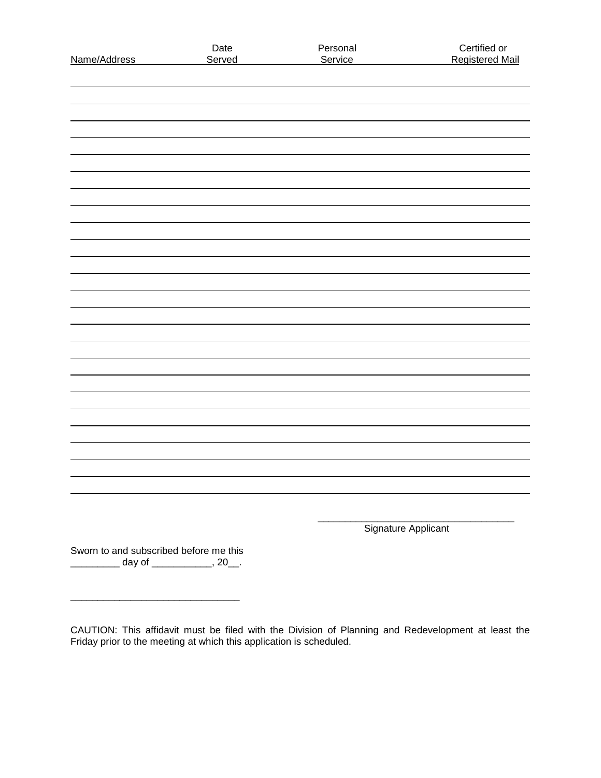| Name/Address                                                                            | Date<br>Served | Personal<br>Service | Certified or<br><b>Registered Mail</b> |
|-----------------------------------------------------------------------------------------|----------------|---------------------|----------------------------------------|
|                                                                                         |                |                     |                                        |
|                                                                                         |                |                     |                                        |
|                                                                                         |                |                     |                                        |
|                                                                                         |                |                     |                                        |
|                                                                                         |                |                     |                                        |
|                                                                                         |                |                     |                                        |
|                                                                                         |                |                     |                                        |
|                                                                                         |                |                     |                                        |
|                                                                                         |                |                     |                                        |
|                                                                                         |                |                     |                                        |
|                                                                                         |                |                     |                                        |
|                                                                                         |                |                     |                                        |
|                                                                                         |                |                     |                                        |
|                                                                                         |                |                     |                                        |
|                                                                                         |                |                     |                                        |
|                                                                                         |                |                     |                                        |
|                                                                                         |                |                     |                                        |
|                                                                                         |                |                     |                                        |
|                                                                                         |                |                     |                                        |
|                                                                                         |                |                     |                                        |
|                                                                                         |                |                     |                                        |
|                                                                                         |                |                     |                                        |
|                                                                                         |                |                     |                                        |
|                                                                                         |                |                     |                                        |
|                                                                                         |                |                     | Signature Applicant                    |
| Sworn to and subscribed before me this<br><u>__________</u> day of _____________, 20__. |                |                     |                                        |
|                                                                                         |                |                     |                                        |

CAUTION: This affidavit must be filed with the Division of Planning and Redevelopment at least the Friday prior to the meeting at which this application is scheduled.

\_\_\_\_\_\_\_\_\_\_\_\_\_\_\_\_\_\_\_\_\_\_\_\_\_\_\_\_\_\_\_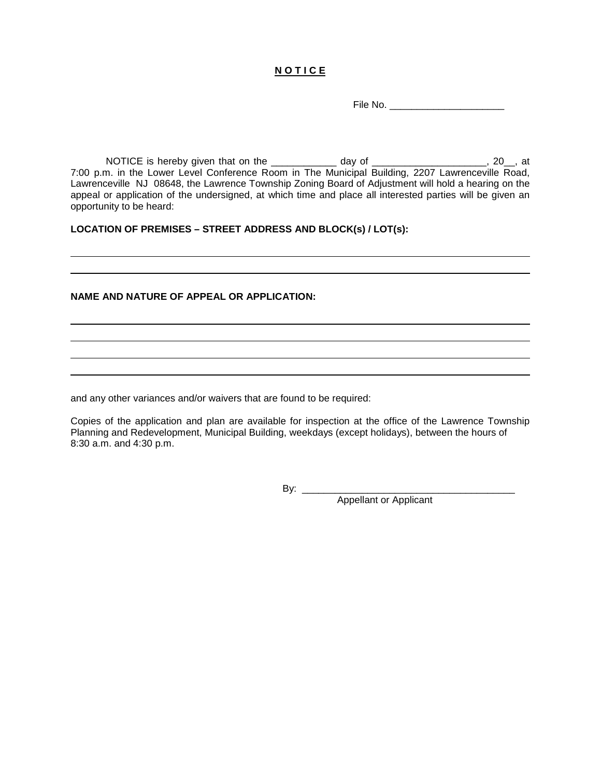# **N O T I C E**

File No. \_\_\_\_\_\_\_\_\_\_\_\_\_\_\_\_\_\_\_\_\_

NOTICE is hereby given that on the \_\_\_\_\_\_\_\_\_\_\_\_ day of \_\_\_\_\_\_\_\_\_\_\_\_\_\_\_\_\_\_\_\_\_, 20\_\_, at 7:00 p.m. in the Lower Level Conference Room in The Municipal Building, 2207 Lawrenceville Road, Lawrenceville NJ 08648, the Lawrence Township Zoning Board of Adjustment will hold a hearing on the appeal or application of the undersigned, at which time and place all interested parties will be given an opportunity to be heard:

**LOCATION OF PREMISES – STREET ADDRESS AND BLOCK(s) / LOT(s):**

## **NAME AND NATURE OF APPEAL OR APPLICATION:**

and any other variances and/or waivers that are found to be required:

Copies of the application and plan are available for inspection at the office of the Lawrence Township Planning and Redevelopment, Municipal Building, weekdays (except holidays), between the hours of 8:30 a.m. and 4:30 p.m.

By: \_\_\_\_\_\_\_\_\_\_\_\_\_\_\_\_\_\_\_\_\_\_\_\_\_\_\_\_\_\_\_\_\_\_\_\_\_\_\_

Appellant or Applicant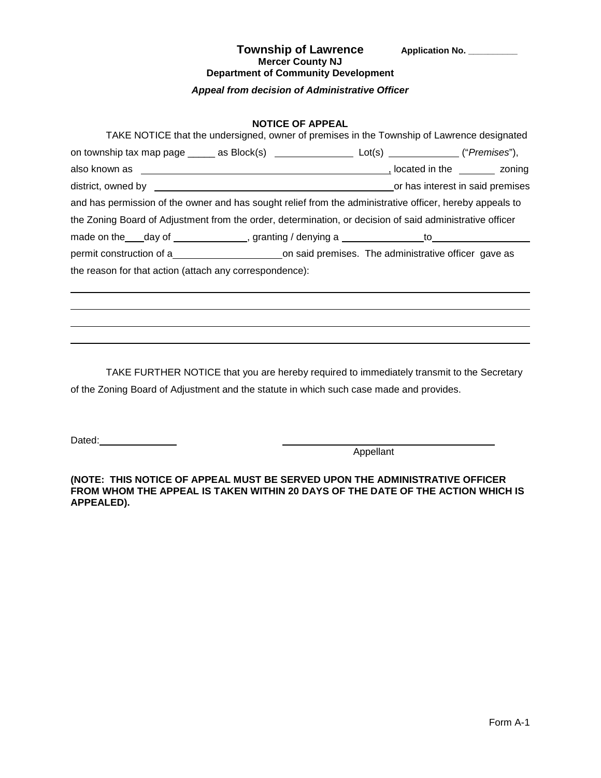## Township of Lawrence Application No. \_\_\_\_\_\_\_\_\_ **Mercer County NJ Department of Community Development**

*Appeal from decision of Administrative Officer*

# **NOTICE OF APPEAL**

| TAKE NOTICE that the undersigned, owner of premises in the Township of Lawrence designated                           |  |  |  |  |  |
|----------------------------------------------------------------------------------------------------------------------|--|--|--|--|--|
| on township tax map page $\_\_\_\_$ as Block(s) $\_\_\_\_\_\_$ Lot(s) $\_\_\_\_\_$ Lot(s) $\_\_\_\_\_$ ("Premises"), |  |  |  |  |  |
|                                                                                                                      |  |  |  |  |  |
|                                                                                                                      |  |  |  |  |  |
| and has permission of the owner and has sought relief from the administrative officer, hereby appeals to             |  |  |  |  |  |
| the Zoning Board of Adjustment from the order, determination, or decision of said administrative officer             |  |  |  |  |  |
|                                                                                                                      |  |  |  |  |  |
|                                                                                                                      |  |  |  |  |  |
| the reason for that action (attach any correspondence):                                                              |  |  |  |  |  |
|                                                                                                                      |  |  |  |  |  |

TAKE FURTHER NOTICE that you are hereby required to immediately transmit to the Secretary of the Zoning Board of Adjustment and the statute in which such case made and provides.

Dated: \_\_\_\_\_\_\_\_\_\_\_\_\_\_\_\_

 $\overline{\phantom{a}}$ 

Appellant

**(NOTE: THIS NOTICE OF APPEAL MUST BE SERVED UPON THE ADMINISTRATIVE OFFICER FROM WHOM THE APPEAL IS TAKEN WITHIN 20 DAYS OF THE DATE OF THE ACTION WHICH IS APPEALED).**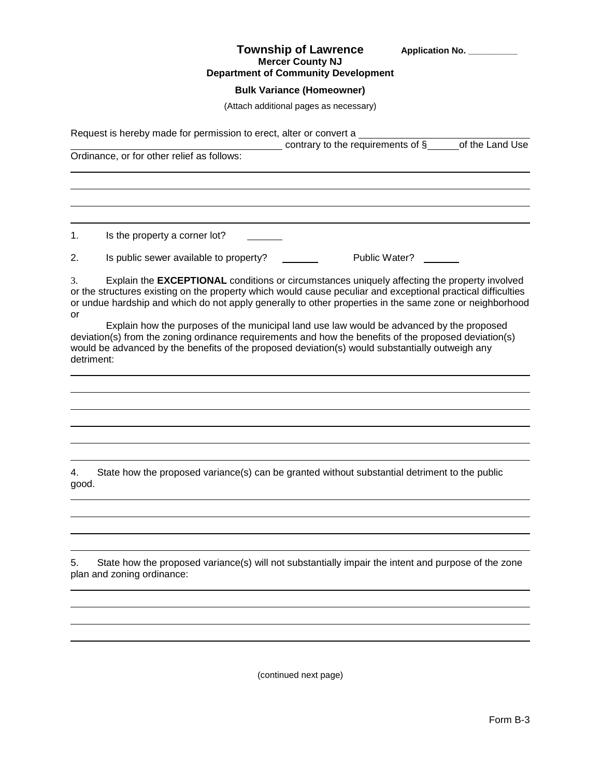#### **Township of Lawrence** Application No. **Mercer County NJ Department of Community Development**

**Bulk Variance (Homeowner)**

(Attach additional pages as necessary)

Request is hereby made for permission to erect, alter or convert a  $\frac{1}{\sqrt{2}}$  contrary to the requirements of  $\S$  of the Land Use Ordinance, or for other relief as follows: 1. Is the property a corner lot? 2. Is public sewer available to property? Public Water? 3. Explain the **EXCEPTIONAL** conditions or circumstances uniquely affecting the property involved or the structures existing on the property which would cause peculiar and exceptional practical difficulties or undue hardship and which do not apply generally to other properties in the same zone or neighborhood or Explain how the purposes of the municipal land use law would be advanced by the proposed deviation(s) from the zoning ordinance requirements and how the benefits of the proposed deviation(s) would be advanced by the benefits of the proposed deviation(s) would substantially outweigh any detriment: 4. State how the proposed variance(s) can be granted without substantial detriment to the public good.

5. State how the proposed variance(s) will not substantially impair the intent and purpose of the zone plan and zoning ordinance:

(continued next page)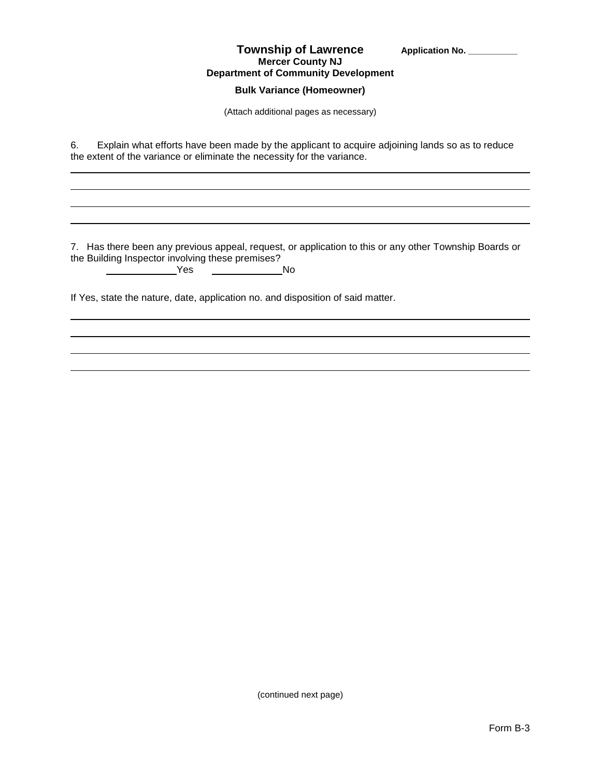| <b>Township of Lawrence</b>                |
|--------------------------------------------|
| <b>Mercer County NJ</b>                    |
| <b>Department of Community Development</b> |

# **Bulk Variance (Homeowner)**

(Attach additional pages as necessary)

6. Explain what efforts have been made by the applicant to acquire adjoining lands so as to reduce the extent of the variance or eliminate the necessity for the variance.

7. Has there been any previous appeal, request, or application to this or any other Township Boards or the Building Inspector involving these premises?

| Yes | No |
|-----|----|
|     |    |

If Yes, state the nature, date, application no. and disposition of said matter.

(continued next page)